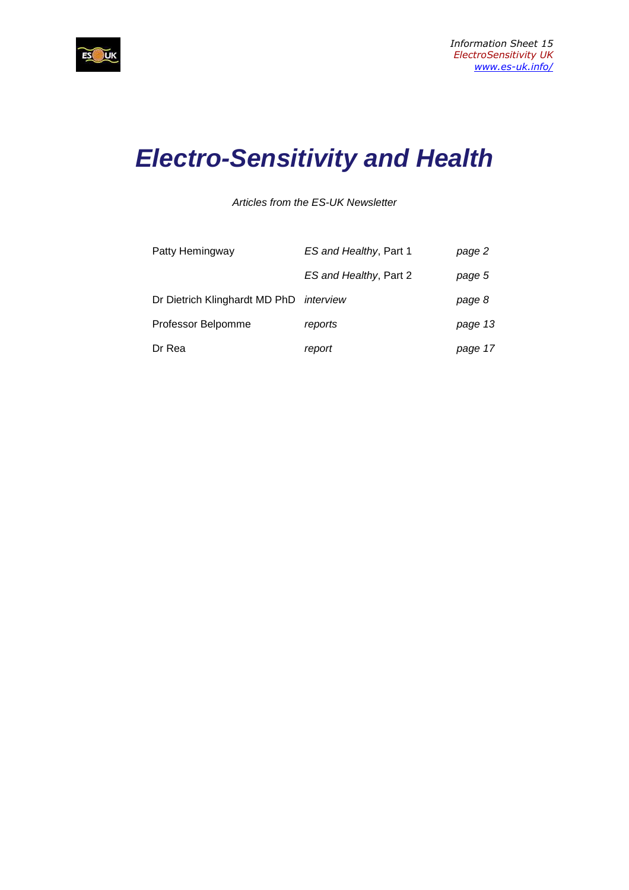

# **Electro-Sensitivity and Health**

Articles from the ES-UK Newsletter

| Patty Hemingway                         | ES and Healthy, Part 1 | page 2  |
|-----------------------------------------|------------------------|---------|
|                                         | ES and Healthy, Part 2 | page 5  |
| Dr Dietrich Klinghardt MD PhD interview |                        | page 8  |
| Professor Belpomme                      | reports                | page 13 |
| Dr Rea                                  | report                 | page 17 |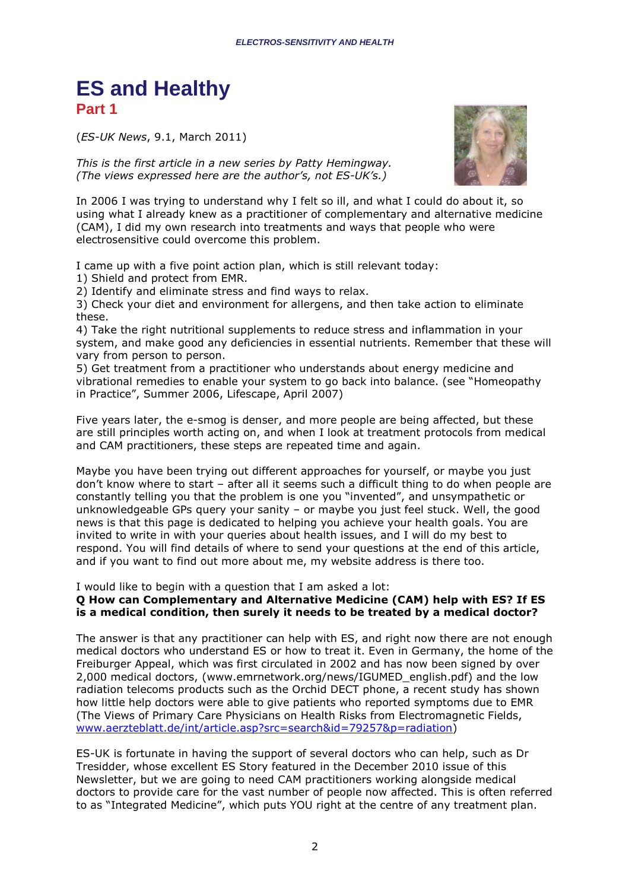## **ES and Healthy Part 1**

(*ES-UK News*, 9.1, March 2011)

*This is the first article in a new series by Patty Hemingway. (The views expressed here are the author's, not ES-UK's.)* 



In 2006 I was trying to understand why I felt so ill, and what I could do about it, so using what I already knew as a practitioner of complementary and alternative medicine (CAM), I did my own research into treatments and ways that people who were electrosensitive could overcome this problem.

I came up with a five point action plan, which is still relevant today:

1) Shield and protect from EMR.

2) Identify and eliminate stress and find ways to relax.

3) Check your diet and environment for allergens, and then take action to eliminate these.

4) Take the right nutritional supplements to reduce stress and inflammation in your system, and make good any deficiencies in essential nutrients. Remember that these will vary from person to person.

5) Get treatment from a practitioner who understands about energy medicine and vibrational remedies to enable your system to go back into balance. (see "Homeopathy in Practice", Summer 2006, Lifescape, April 2007)

Five years later, the e-smog is denser, and more people are being affected, but these are still principles worth acting on, and when I look at treatment protocols from medical and CAM practitioners, these steps are repeated time and again.

Maybe you have been trying out different approaches for yourself, or maybe you just don't know where to start – after all it seems such a difficult thing to do when people are constantly telling you that the problem is one you "invented", and unsympathetic or unknowledgeable GPs query your sanity – or maybe you just feel stuck. Well, the good news is that this page is dedicated to helping you achieve your health goals. You are invited to write in with your queries about health issues, and I will do my best to respond. You will find details of where to send your questions at the end of this article, and if you want to find out more about me, my website address is there too.

I would like to begin with a question that I am asked a lot:

#### **Q How can Complementary and Alternative Medicine (CAM) help with ES? If ES is a medical condition, then surely it needs to be treated by a medical doctor?**

The answer is that any practitioner can help with ES, and right now there are not enough medical doctors who understand ES or how to treat it. Even in Germany, the home of the Freiburger Appeal, which was first circulated in 2002 and has now been signed by over 2,000 medical doctors, (www.emrnetwork.org/news/IGUMED\_english.pdf) and the low radiation telecoms products such as the Orchid DECT phone, a recent study has shown how little help doctors were able to give patients who reported symptoms due to EMR (The Views of Primary Care Physicians on Health Risks from Electromagnetic Fields, www.aerzteblatt.de/int/article.asp?src=search&id=79257&p=radiation)

ES-UK is fortunate in having the support of several doctors who can help, such as Dr Tresidder, whose excellent ES Story featured in the December 2010 issue of this Newsletter, but we are going to need CAM practitioners working alongside medical doctors to provide care for the vast number of people now affected. This is often referred to as "Integrated Medicine", which puts YOU right at the centre of any treatment plan.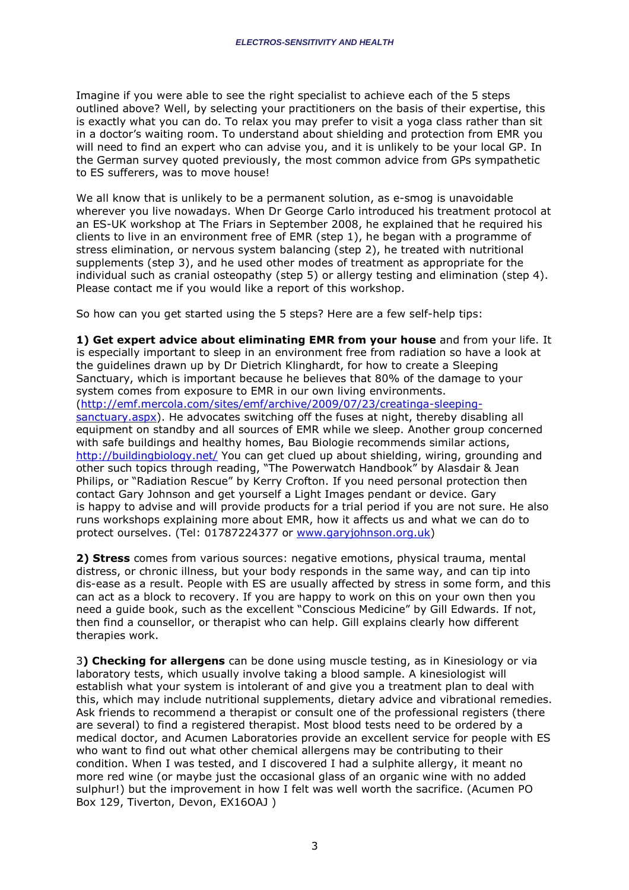Imagine if you were able to see the right specialist to achieve each of the 5 steps outlined above? Well, by selecting your practitioners on the basis of their expertise, this is exactly what you can do. To relax you may prefer to visit a yoga class rather than sit in a doctor's waiting room. To understand about shielding and protection from EMR you will need to find an expert who can advise you, and it is unlikely to be your local GP. In the German survey quoted previously, the most common advice from GPs sympathetic to ES sufferers, was to move house!

We all know that is unlikely to be a permanent solution, as e-smog is unavoidable wherever you live nowadays. When Dr George Carlo introduced his treatment protocol at an ES-UK workshop at The Friars in September 2008, he explained that he required his clients to live in an environment free of EMR (step 1), he began with a programme of stress elimination, or nervous system balancing (step 2), he treated with nutritional supplements (step 3), and he used other modes of treatment as appropriate for the individual such as cranial osteopathy (step 5) or allergy testing and elimination (step 4). Please contact me if you would like a report of this workshop.

So how can you get started using the 5 steps? Here are a few self-help tips:

**1) Get expert advice about eliminating EMR from your house** and from your life. It is especially important to sleep in an environment free from radiation so have a look at the guidelines drawn up by Dr Dietrich Klinghardt, for how to create a Sleeping Sanctuary, which is important because he believes that 80% of the damage to your system comes from exposure to EMR in our own living environments. (http://emf.mercola.com/sites/emf/archive/2009/07/23/creatinga-sleepingsanctuary.aspx). He advocates switching off the fuses at night, thereby disabling all equipment on standby and all sources of EMR while we sleep. Another group concerned with safe buildings and healthy homes, Bau Biologie recommends similar actions, http://buildingbiology.net/ You can get clued up about shielding, wiring, grounding and other such topics through reading, "The Powerwatch Handbook" by Alasdair & Jean Philips, or "Radiation Rescue" by Kerry Crofton. If you need personal protection then contact Gary Johnson and get yourself a Light Images pendant or device. Gary is happy to advise and will provide products for a trial period if you are not sure. He also runs workshops explaining more about EMR, how it affects us and what we can do to protect ourselves. (Tel: 01787224377 or www.garyjohnson.org.uk)

**2) Stress** comes from various sources: negative emotions, physical trauma, mental distress, or chronic illness, but your body responds in the same way, and can tip into dis-ease as a result. People with ES are usually affected by stress in some form, and this can act as a block to recovery. If you are happy to work on this on your own then you need a guide book, such as the excellent "Conscious Medicine" by Gill Edwards. If not, then find a counsellor, or therapist who can help. Gill explains clearly how different therapies work.

3**) Checking for allergens** can be done using muscle testing, as in Kinesiology or via laboratory tests, which usually involve taking a blood sample. A kinesiologist will establish what your system is intolerant of and give you a treatment plan to deal with this, which may include nutritional supplements, dietary advice and vibrational remedies. Ask friends to recommend a therapist or consult one of the professional registers (there are several) to find a registered therapist. Most blood tests need to be ordered by a medical doctor, and Acumen Laboratories provide an excellent service for people with ES who want to find out what other chemical allergens may be contributing to their condition. When I was tested, and I discovered I had a sulphite allergy, it meant no more red wine (or maybe just the occasional glass of an organic wine with no added sulphur!) but the improvement in how I felt was well worth the sacrifice. (Acumen PO Box 129, Tiverton, Devon, EX16OAJ )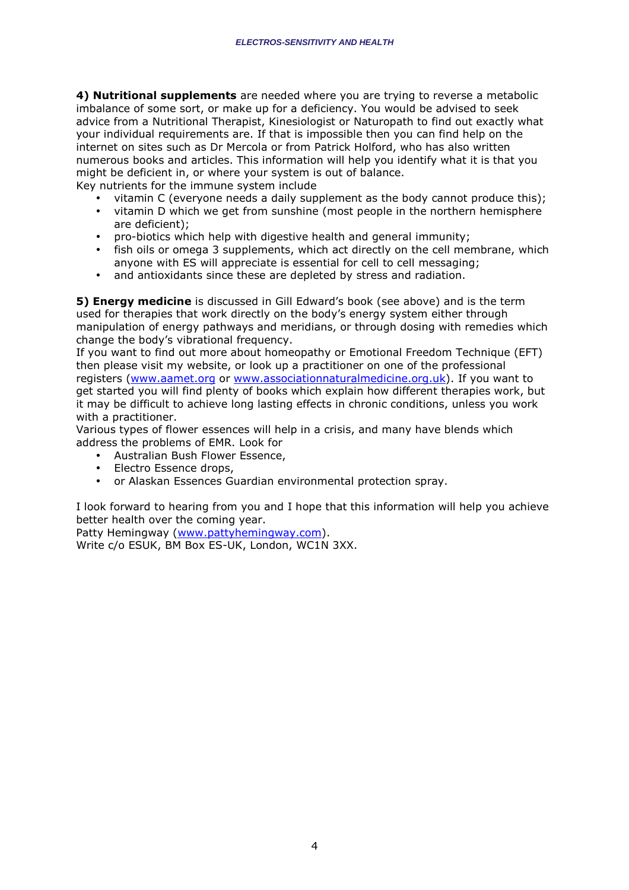**4) Nutritional supplements** are needed where you are trying to reverse a metabolic imbalance of some sort, or make up for a deficiency. You would be advised to seek advice from a Nutritional Therapist, Kinesiologist or Naturopath to find out exactly what your individual requirements are. If that is impossible then you can find help on the internet on sites such as Dr Mercola or from Patrick Holford, who has also written numerous books and articles. This information will help you identify what it is that you might be deficient in, or where your system is out of balance.

Key nutrients for the immune system include

- vitamin C (everyone needs a daily supplement as the body cannot produce this);
- vitamin D which we get from sunshine (most people in the northern hemisphere are deficient);
- pro-biotics which help with digestive health and general immunity;
- fish oils or omega 3 supplements, which act directly on the cell membrane, which anyone with ES will appreciate is essential for cell to cell messaging;
- and antioxidants since these are depleted by stress and radiation.

**5) Energy medicine** is discussed in Gill Edward's book (see above) and is the term used for therapies that work directly on the body's energy system either through manipulation of energy pathways and meridians, or through dosing with remedies which change the body's vibrational frequency.

If you want to find out more about homeopathy or Emotional Freedom Technique (EFT) then please visit my website, or look up a practitioner on one of the professional registers (www.aamet.org or www.associationnaturalmedicine.org.uk). If you want to get started you will find plenty of books which explain how different therapies work, but it may be difficult to achieve long lasting effects in chronic conditions, unless you work with a practitioner.

Various types of flower essences will help in a crisis, and many have blends which address the problems of EMR. Look for

- Australian Bush Flower Essence,
- Electro Essence drops,
- or Alaskan Essences Guardian environmental protection spray.

I look forward to hearing from you and I hope that this information will help you achieve better health over the coming year.

Patty Hemingway (www.pattyhemingway.com).

Write c/o ESUK, BM Box ES-UK, London, WC1N 3XX.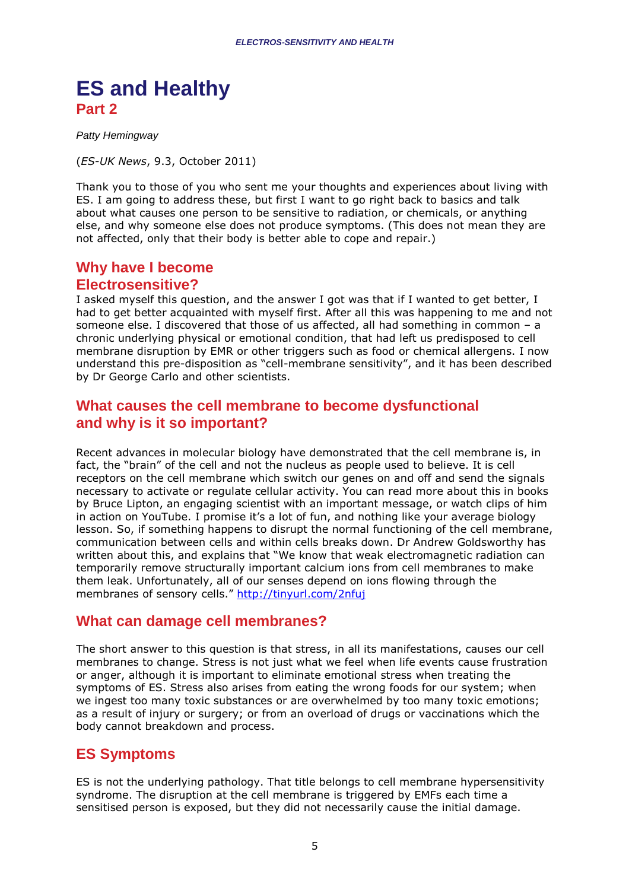## **ES and Healthy Part 2**

Patty Hemingway

(*ES-UK News*, 9.3, October 2011)

Thank you to those of you who sent me your thoughts and experiences about living with ES. I am going to address these, but first I want to go right back to basics and talk about what causes one person to be sensitive to radiation, or chemicals, or anything else, and why someone else does not produce symptoms. (This does not mean they are not affected, only that their body is better able to cope and repair.)

### **Why have I become Electrosensitive?**

I asked myself this question, and the answer I got was that if I wanted to get better, I had to get better acquainted with myself first. After all this was happening to me and not someone else. I discovered that those of us affected, all had something in common - a chronic underlying physical or emotional condition, that had left us predisposed to cell membrane disruption by EMR or other triggers such as food or chemical allergens. I now understand this pre-disposition as "cell-membrane sensitivity", and it has been described by Dr George Carlo and other scientists.

### **What causes the cell membrane to become dysfunctional and why is it so important?**

Recent advances in molecular biology have demonstrated that the cell membrane is, in fact, the "brain" of the cell and not the nucleus as people used to believe. It is cell receptors on the cell membrane which switch our genes on and off and send the signals necessary to activate or regulate cellular activity. You can read more about this in books by Bruce Lipton, an engaging scientist with an important message, or watch clips of him in action on YouTube. I promise it's a lot of fun, and nothing like your average biology lesson. So, if something happens to disrupt the normal functioning of the cell membrane, communication between cells and within cells breaks down. Dr Andrew Goldsworthy has written about this, and explains that "We know that weak electromagnetic radiation can temporarily remove structurally important calcium ions from cell membranes to make them leak. Unfortunately, all of our senses depend on ions flowing through the membranes of sensory cells." http://tinyurl.com/2nfuj

## **What can damage cell membranes?**

The short answer to this question is that stress, in all its manifestations, causes our cell membranes to change. Stress is not just what we feel when life events cause frustration or anger, although it is important to eliminate emotional stress when treating the symptoms of ES. Stress also arises from eating the wrong foods for our system; when we ingest too many toxic substances or are overwhelmed by too many toxic emotions; as a result of injury or surgery; or from an overload of drugs or vaccinations which the body cannot breakdown and process.

## **ES Symptoms**

ES is not the underlying pathology. That title belongs to cell membrane hypersensitivity syndrome. The disruption at the cell membrane is triggered by EMFs each time a sensitised person is exposed, but they did not necessarily cause the initial damage.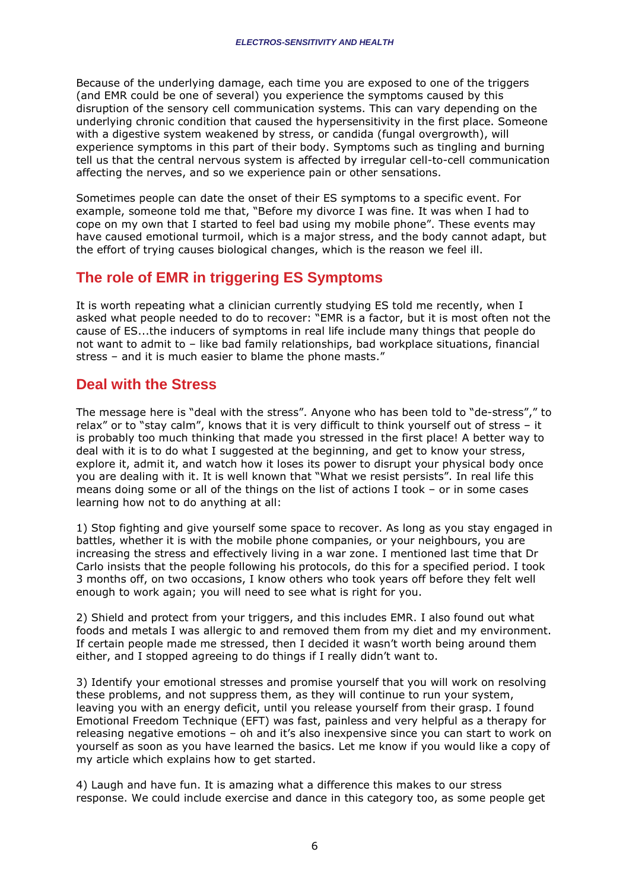Because of the underlying damage, each time you are exposed to one of the triggers (and EMR could be one of several) you experience the symptoms caused by this disruption of the sensory cell communication systems. This can vary depending on the underlying chronic condition that caused the hypersensitivity in the first place. Someone with a digestive system weakened by stress, or candida (fungal overgrowth), will experience symptoms in this part of their body. Symptoms such as tingling and burning tell us that the central nervous system is affected by irregular cell-to-cell communication affecting the nerves, and so we experience pain or other sensations.

Sometimes people can date the onset of their ES symptoms to a specific event. For example, someone told me that, "Before my divorce I was fine. It was when I had to cope on my own that I started to feel bad using my mobile phone". These events may have caused emotional turmoil, which is a major stress, and the body cannot adapt, but the effort of trying causes biological changes, which is the reason we feel ill.

## **The role of EMR in triggering ES Symptoms**

It is worth repeating what a clinician currently studying ES told me recently, when I asked what people needed to do to recover: "EMR is a factor, but it is most often not the cause of ES...the inducers of symptoms in real life include many things that people do not want to admit to – like bad family relationships, bad workplace situations, financial stress – and it is much easier to blame the phone masts."

### **Deal with the Stress**

The message here is "deal with the stress". Anyone who has been told to "de-stress"," to relax" or to "stay calm", knows that it is very difficult to think yourself out of stress – it is probably too much thinking that made you stressed in the first place! A better way to deal with it is to do what I suggested at the beginning, and get to know your stress, explore it, admit it, and watch how it loses its power to disrupt your physical body once you are dealing with it. It is well known that "What we resist persists". In real life this means doing some or all of the things on the list of actions I took – or in some cases learning how not to do anything at all:

1) Stop fighting and give yourself some space to recover. As long as you stay engaged in battles, whether it is with the mobile phone companies, or your neighbours, you are increasing the stress and effectively living in a war zone. I mentioned last time that Dr Carlo insists that the people following his protocols, do this for a specified period. I took 3 months off, on two occasions, I know others who took years off before they felt well enough to work again; you will need to see what is right for you.

2) Shield and protect from your triggers, and this includes EMR. I also found out what foods and metals I was allergic to and removed them from my diet and my environment. If certain people made me stressed, then I decided it wasn't worth being around them either, and I stopped agreeing to do things if I really didn't want to.

3) Identify your emotional stresses and promise yourself that you will work on resolving these problems, and not suppress them, as they will continue to run your system, leaving you with an energy deficit, until you release yourself from their grasp. I found Emotional Freedom Technique (EFT) was fast, painless and very helpful as a therapy for releasing negative emotions – oh and it's also inexpensive since you can start to work on yourself as soon as you have learned the basics. Let me know if you would like a copy of my article which explains how to get started.

4) Laugh and have fun. It is amazing what a difference this makes to our stress response. We could include exercise and dance in this category too, as some people get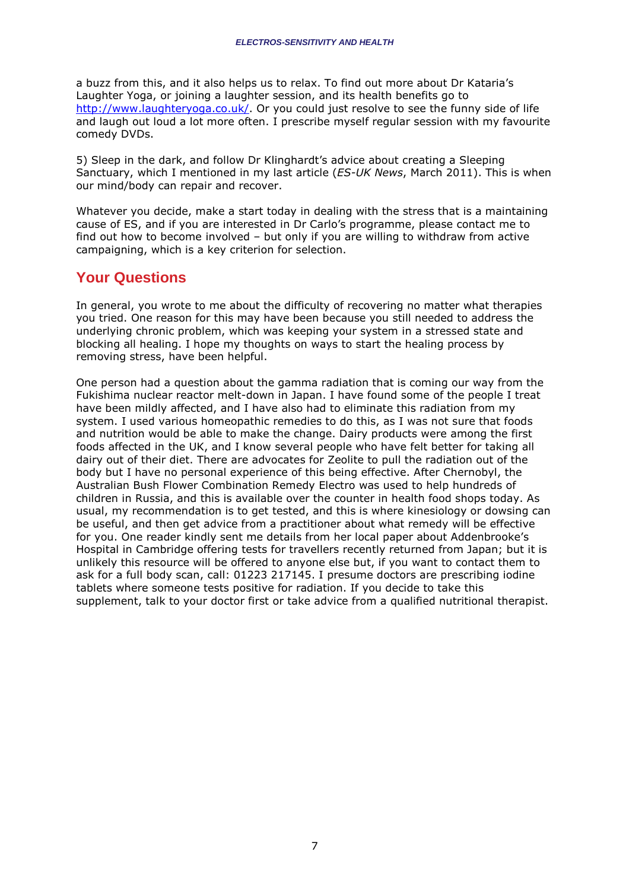a buzz from this, and it also helps us to relax. To find out more about Dr Kataria's Laughter Yoga, or joining a laughter session, and its health benefits go to http://www.laughteryoga.co.uk/. Or you could just resolve to see the funny side of life and laugh out loud a lot more often. I prescribe myself regular session with my favourite comedy DVDs.

5) Sleep in the dark, and follow Dr Klinghardt's advice about creating a Sleeping Sanctuary, which I mentioned in my last article (*ES-UK News*, March 2011). This is when our mind/body can repair and recover.

Whatever you decide, make a start today in dealing with the stress that is a maintaining cause of ES, and if you are interested in Dr Carlo's programme, please contact me to find out how to become involved – but only if you are willing to withdraw from active campaigning, which is a key criterion for selection.

## **Your Questions**

In general, you wrote to me about the difficulty of recovering no matter what therapies you tried. One reason for this may have been because you still needed to address the underlying chronic problem, which was keeping your system in a stressed state and blocking all healing. I hope my thoughts on ways to start the healing process by removing stress, have been helpful.

One person had a question about the gamma radiation that is coming our way from the Fukishima nuclear reactor melt-down in Japan. I have found some of the people I treat have been mildly affected, and I have also had to eliminate this radiation from my system. I used various homeopathic remedies to do this, as I was not sure that foods and nutrition would be able to make the change. Dairy products were among the first foods affected in the UK, and I know several people who have felt better for taking all dairy out of their diet. There are advocates for Zeolite to pull the radiation out of the body but I have no personal experience of this being effective. After Chernobyl, the Australian Bush Flower Combination Remedy Electro was used to help hundreds of children in Russia, and this is available over the counter in health food shops today. As usual, my recommendation is to get tested, and this is where kinesiology or dowsing can be useful, and then get advice from a practitioner about what remedy will be effective for you. One reader kindly sent me details from her local paper about Addenbrooke's Hospital in Cambridge offering tests for travellers recently returned from Japan; but it is unlikely this resource will be offered to anyone else but, if you want to contact them to ask for a full body scan, call: 01223 217145. I presume doctors are prescribing iodine tablets where someone tests positive for radiation. If you decide to take this supplement, talk to your doctor first or take advice from a qualified nutritional therapist.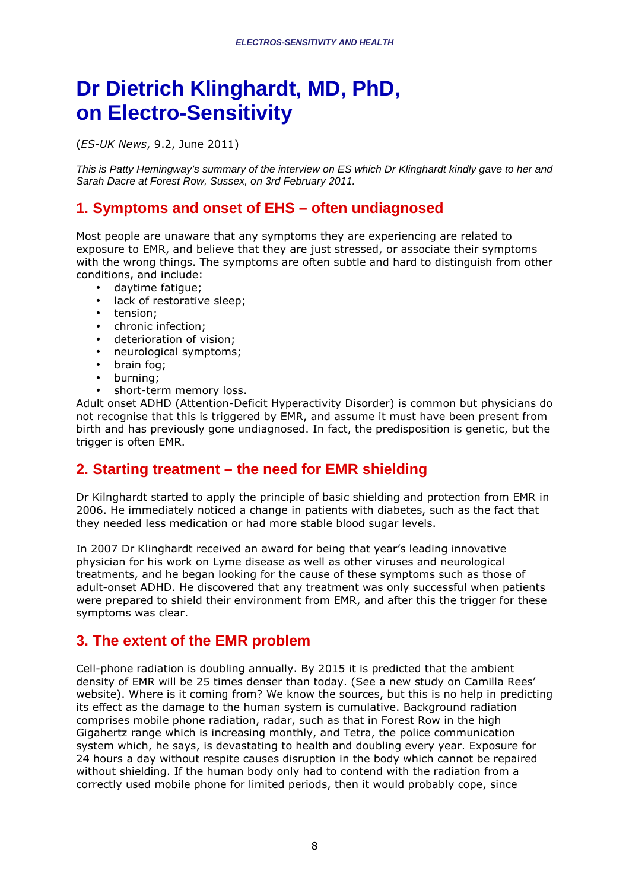## **Dr Dietrich Klinghardt, MD, PhD, on Electro-Sensitivity**

(*ES-UK News*, 9.2, June 2011)

This is Patty Hemingway's summary of the interview on ES which Dr Klinghardt kindly gave to her and Sarah Dacre at Forest Row, Sussex, on 3rd February 2011.

## **1. Symptoms and onset of EHS – often undiagnosed**

Most people are unaware that any symptoms they are experiencing are related to exposure to EMR, and believe that they are just stressed, or associate their symptoms with the wrong things. The symptoms are often subtle and hard to distinguish from other conditions, and include:

- daytime fatigue;
- lack of restorative sleep;
- tension;
- chronic infection;
- deterioration of vision;
- neurological symptoms;
- brain fog;
- burning;
- short-term memory loss.

Adult onset ADHD (Attention-Deficit Hyperactivity Disorder) is common but physicians do not recognise that this is triggered by EMR, and assume it must have been present from birth and has previously gone undiagnosed. In fact, the predisposition is genetic, but the trigger is often EMR.

## **2. Starting treatment – the need for EMR shielding**

Dr Kilnghardt started to apply the principle of basic shielding and protection from EMR in 2006. He immediately noticed a change in patients with diabetes, such as the fact that they needed less medication or had more stable blood sugar levels.

In 2007 Dr Klinghardt received an award for being that year's leading innovative physician for his work on Lyme disease as well as other viruses and neurological treatments, and he began looking for the cause of these symptoms such as those of adult-onset ADHD. He discovered that any treatment was only successful when patients were prepared to shield their environment from EMR, and after this the trigger for these symptoms was clear.

## **3. The extent of the EMR problem**

Cell-phone radiation is doubling annually. By 2015 it is predicted that the ambient density of EMR will be 25 times denser than today. (See a new study on Camilla Rees' website). Where is it coming from? We know the sources, but this is no help in predicting its effect as the damage to the human system is cumulative. Background radiation comprises mobile phone radiation, radar, such as that in Forest Row in the high Gigahertz range which is increasing monthly, and Tetra, the police communication system which, he says, is devastating to health and doubling every year. Exposure for 24 hours a day without respite causes disruption in the body which cannot be repaired without shielding. If the human body only had to contend with the radiation from a correctly used mobile phone for limited periods, then it would probably cope, since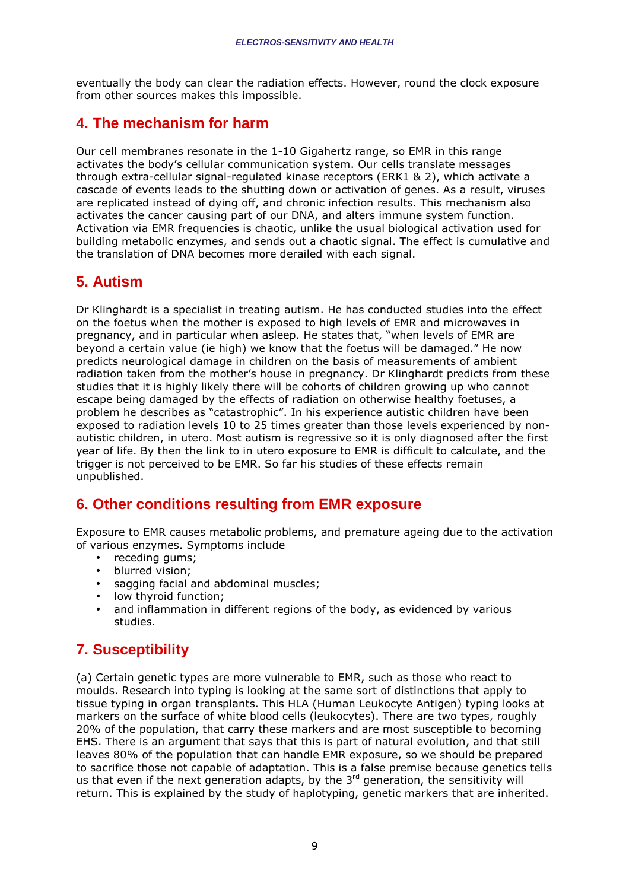eventually the body can clear the radiation effects. However, round the clock exposure from other sources makes this impossible.

## **4. The mechanism for harm**

Our cell membranes resonate in the 1-10 Gigahertz range, so EMR in this range activates the body's cellular communication system. Our cells translate messages through extra-cellular signal-regulated kinase receptors (ERK1 & 2), which activate a cascade of events leads to the shutting down or activation of genes. As a result, viruses are replicated instead of dying off, and chronic infection results. This mechanism also activates the cancer causing part of our DNA, and alters immune system function. Activation via EMR frequencies is chaotic, unlike the usual biological activation used for building metabolic enzymes, and sends out a chaotic signal. The effect is cumulative and the translation of DNA becomes more derailed with each signal.

## **5. Autism**

Dr Klinghardt is a specialist in treating autism. He has conducted studies into the effect on the foetus when the mother is exposed to high levels of EMR and microwaves in pregnancy, and in particular when asleep. He states that, "when levels of EMR are beyond a certain value (ie high) we know that the foetus will be damaged." He now predicts neurological damage in children on the basis of measurements of ambient radiation taken from the mother's house in pregnancy. Dr Klinghardt predicts from these studies that it is highly likely there will be cohorts of children growing up who cannot escape being damaged by the effects of radiation on otherwise healthy foetuses, a problem he describes as "catastrophic". In his experience autistic children have been exposed to radiation levels 10 to 25 times greater than those levels experienced by nonautistic children, in utero. Most autism is regressive so it is only diagnosed after the first year of life. By then the link to in utero exposure to EMR is difficult to calculate, and the trigger is not perceived to be EMR. So far his studies of these effects remain unpublished.

## **6. Other conditions resulting from EMR exposure**

Exposure to EMR causes metabolic problems, and premature ageing due to the activation of various enzymes. Symptoms include

- receding gums;
- blurred vision;
- sagging facial and abdominal muscles;
- low thyroid function:
- and inflammation in different regions of the body, as evidenced by various studies.

## **7. Susceptibility**

(a) Certain genetic types are more vulnerable to EMR, such as those who react to moulds. Research into typing is looking at the same sort of distinctions that apply to tissue typing in organ transplants. This HLA (Human Leukocyte Antigen) typing looks at markers on the surface of white blood cells (leukocytes). There are two types, roughly 20% of the population, that carry these markers and are most susceptible to becoming EHS. There is an argument that says that this is part of natural evolution, and that still leaves 80% of the population that can handle EMR exposure, so we should be prepared to sacrifice those not capable of adaptation. This is a false premise because genetics tells us that even if the next generation adapts, by the  $3<sup>rd</sup>$  generation, the sensitivity will return. This is explained by the study of haplotyping, genetic markers that are inherited.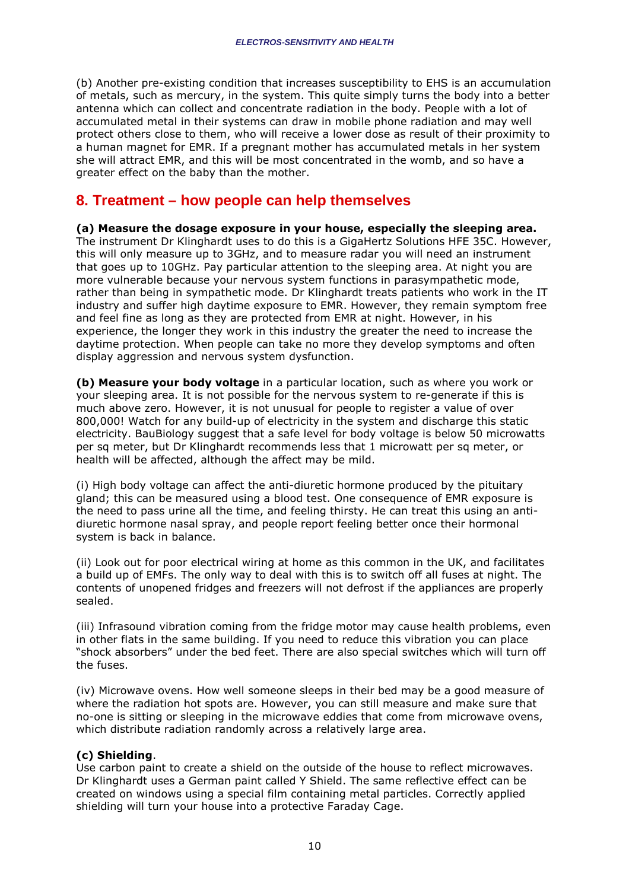(b) Another pre-existing condition that increases susceptibility to EHS is an accumulation of metals, such as mercury, in the system. This quite simply turns the body into a better antenna which can collect and concentrate radiation in the body. People with a lot of accumulated metal in their systems can draw in mobile phone radiation and may well protect others close to them, who will receive a lower dose as result of their proximity to a human magnet for EMR. If a pregnant mother has accumulated metals in her system she will attract EMR, and this will be most concentrated in the womb, and so have a greater effect on the baby than the mother.

## **8. Treatment – how people can help themselves**

**(a) Measure the dosage exposure in your house, especially the sleeping area.**  The instrument Dr Klinghardt uses to do this is a GigaHertz Solutions HFE 35C. However, this will only measure up to 3GHz, and to measure radar you will need an instrument that goes up to 10GHz. Pay particular attention to the sleeping area. At night you are more vulnerable because your nervous system functions in parasympathetic mode, rather than being in sympathetic mode. Dr Klinghardt treats patients who work in the IT industry and suffer high daytime exposure to EMR. However, they remain symptom free and feel fine as long as they are protected from EMR at night. However, in his experience, the longer they work in this industry the greater the need to increase the daytime protection. When people can take no more they develop symptoms and often display aggression and nervous system dysfunction.

**(b) Measure your body voltage** in a particular location, such as where you work or your sleeping area. It is not possible for the nervous system to re-generate if this is much above zero. However, it is not unusual for people to register a value of over 800,000! Watch for any build-up of electricity in the system and discharge this static electricity. BauBiology suggest that a safe level for body voltage is below 50 microwatts per sq meter, but Dr Klinghardt recommends less that 1 microwatt per sq meter, or health will be affected, although the affect may be mild.

(i) High body voltage can affect the anti-diuretic hormone produced by the pituitary gland; this can be measured using a blood test. One consequence of EMR exposure is the need to pass urine all the time, and feeling thirsty. He can treat this using an antidiuretic hormone nasal spray, and people report feeling better once their hormonal system is back in balance.

(ii) Look out for poor electrical wiring at home as this common in the UK, and facilitates a build up of EMFs. The only way to deal with this is to switch off all fuses at night. The contents of unopened fridges and freezers will not defrost if the appliances are properly sealed.

(iii) Infrasound vibration coming from the fridge motor may cause health problems, even in other flats in the same building. If you need to reduce this vibration you can place "shock absorbers" under the bed feet. There are also special switches which will turn off the fuses.

(iv) Microwave ovens. How well someone sleeps in their bed may be a good measure of where the radiation hot spots are. However, you can still measure and make sure that no-one is sitting or sleeping in the microwave eddies that come from microwave ovens, which distribute radiation randomly across a relatively large area.

#### **(c) Shielding**.

Use carbon paint to create a shield on the outside of the house to reflect microwaves. Dr Klinghardt uses a German paint called Y Shield. The same reflective effect can be created on windows using a special film containing metal particles. Correctly applied shielding will turn your house into a protective Faraday Cage.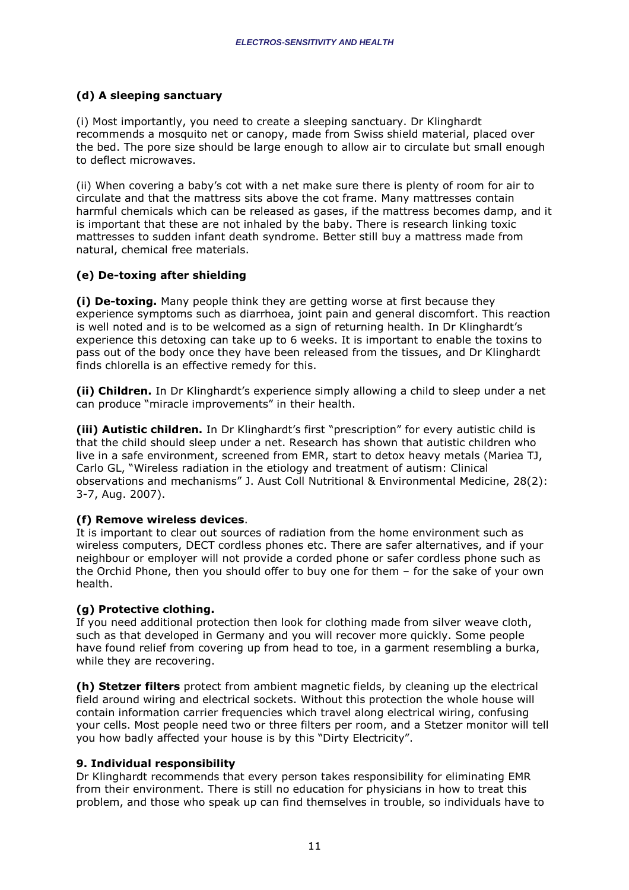#### **(d) A sleeping sanctuary**

(i) Most importantly, you need to create a sleeping sanctuary. Dr Klinghardt recommends a mosquito net or canopy, made from Swiss shield material, placed over the bed. The pore size should be large enough to allow air to circulate but small enough to deflect microwaves.

(ii) When covering a baby's cot with a net make sure there is plenty of room for air to circulate and that the mattress sits above the cot frame. Many mattresses contain harmful chemicals which can be released as gases, if the mattress becomes damp, and it is important that these are not inhaled by the baby. There is research linking toxic mattresses to sudden infant death syndrome. Better still buy a mattress made from natural, chemical free materials.

#### **(e) De-toxing after shielding**

**(i) De-toxing.** Many people think they are getting worse at first because they experience symptoms such as diarrhoea, joint pain and general discomfort. This reaction is well noted and is to be welcomed as a sign of returning health. In Dr Klinghardt's experience this detoxing can take up to 6 weeks. It is important to enable the toxins to pass out of the body once they have been released from the tissues, and Dr Klinghardt finds chlorella is an effective remedy for this.

**(ii) Children.** In Dr Klinghardt's experience simply allowing a child to sleep under a net can produce "miracle improvements" in their health.

**(iii) Autistic children.** In Dr Klinghardt's first "prescription" for every autistic child is that the child should sleep under a net. Research has shown that autistic children who live in a safe environment, screened from EMR, start to detox heavy metals (Mariea TJ, Carlo GL, "Wireless radiation in the etiology and treatment of autism: Clinical observations and mechanisms" J. Aust Coll Nutritional & Environmental Medicine, 28(2): 3-7, Aug. 2007).

#### **(f) Remove wireless devices**.

It is important to clear out sources of radiation from the home environment such as wireless computers, DECT cordless phones etc. There are safer alternatives, and if your neighbour or employer will not provide a corded phone or safer cordless phone such as the Orchid Phone, then you should offer to buy one for them – for the sake of your own health.

#### **(g) Protective clothing.**

If you need additional protection then look for clothing made from silver weave cloth, such as that developed in Germany and you will recover more quickly. Some people have found relief from covering up from head to toe, in a garment resembling a burka, while they are recovering.

**(h) Stetzer filters** protect from ambient magnetic fields, by cleaning up the electrical field around wiring and electrical sockets. Without this protection the whole house will contain information carrier frequencies which travel along electrical wiring, confusing your cells. Most people need two or three filters per room, and a Stetzer monitor will tell you how badly affected your house is by this "Dirty Electricity".

#### **9. Individual responsibility**

Dr Klinghardt recommends that every person takes responsibility for eliminating EMR from their environment. There is still no education for physicians in how to treat this problem, and those who speak up can find themselves in trouble, so individuals have to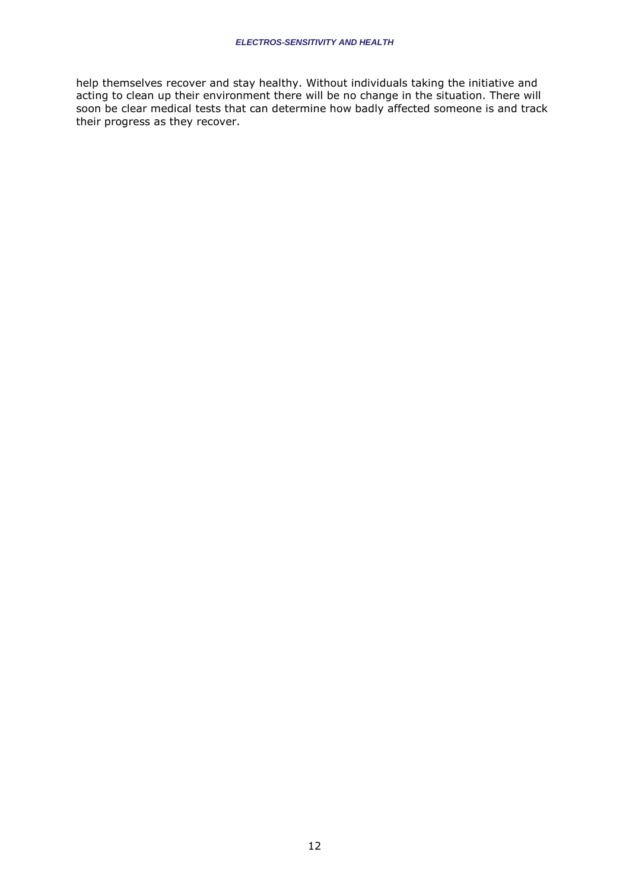help themselves recover and stay healthy. Without individuals taking the initiative and acting to clean up their environment there will be no change in the situation. There will soon be clear medical tests that can determine how badly affected someone is and track their progress as they recover.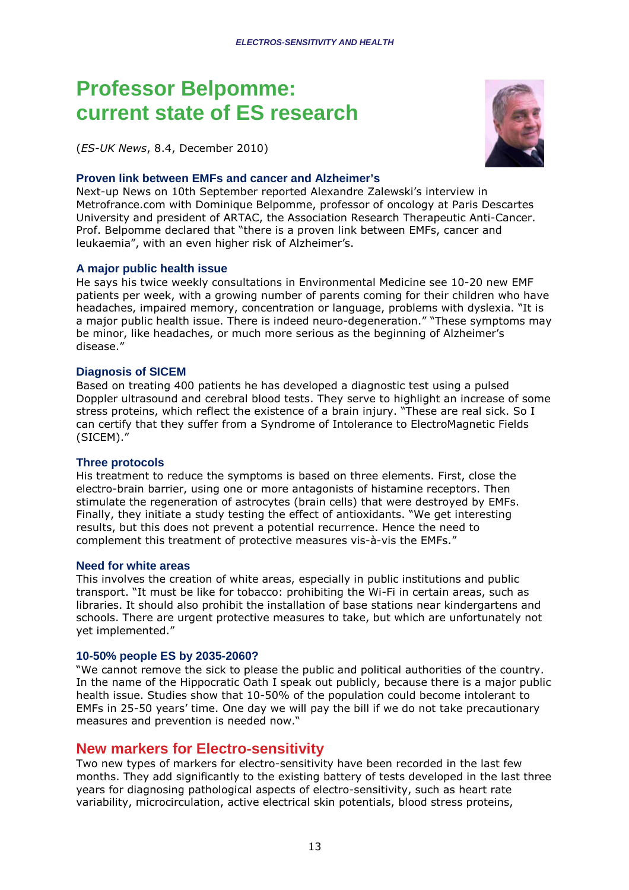## **Professor Belpomme: current state of ES research**

(*ES-UK News*, 8.4, December 2010)

#### **Proven link between EMFs and cancer and Alzheimer's**

Next-up News on 10th September reported Alexandre Zalewski's interview in Metrofrance.com with Dominique Belpomme, professor of oncology at Paris Descartes University and president of ARTAC, the Association Research Therapeutic Anti-Cancer. Prof. Belpomme declared that "there is a proven link between EMFs, cancer and leukaemia", with an even higher risk of Alzheimer's.

#### **A major public health issue**

He says his twice weekly consultations in Environmental Medicine see 10-20 new EMF patients per week, with a growing number of parents coming for their children who have headaches, impaired memory, concentration or language, problems with dyslexia. "It is a major public health issue. There is indeed neuro-degeneration." "These symptoms may be minor, like headaches, or much more serious as the beginning of Alzheimer's disease."

#### **Diagnosis of SICEM**

Based on treating 400 patients he has developed a diagnostic test using a pulsed Doppler ultrasound and cerebral blood tests. They serve to highlight an increase of some stress proteins, which reflect the existence of a brain injury. "These are real sick. So I can certify that they suffer from a Syndrome of Intolerance to ElectroMagnetic Fields (SICEM)."

#### **Three protocols**

His treatment to reduce the symptoms is based on three elements. First, close the electro-brain barrier, using one or more antagonists of histamine receptors. Then stimulate the regeneration of astrocytes (brain cells) that were destroyed by EMFs. Finally, they initiate a study testing the effect of antioxidants. "We get interesting results, but this does not prevent a potential recurrence. Hence the need to complement this treatment of protective measures vis-à-vis the EMFs."

#### **Need for white areas**

This involves the creation of white areas, especially in public institutions and public transport. "It must be like for tobacco: prohibiting the Wi-Fi in certain areas, such as libraries. It should also prohibit the installation of base stations near kindergartens and schools. There are urgent protective measures to take, but which are unfortunately not yet implemented."

#### **10-50% people ES by 2035-2060?**

"We cannot remove the sick to please the public and political authorities of the country. In the name of the Hippocratic Oath I speak out publicly, because there is a major public health issue. Studies show that 10-50% of the population could become intolerant to EMFs in 25-50 years' time. One day we will pay the bill if we do not take precautionary measures and prevention is needed now."

#### **New markers for Electro-sensitivity**

Two new types of markers for electro-sensitivity have been recorded in the last few months. They add significantly to the existing battery of tests developed in the last three years for diagnosing pathological aspects of electro-sensitivity, such as heart rate variability, microcirculation, active electrical skin potentials, blood stress proteins,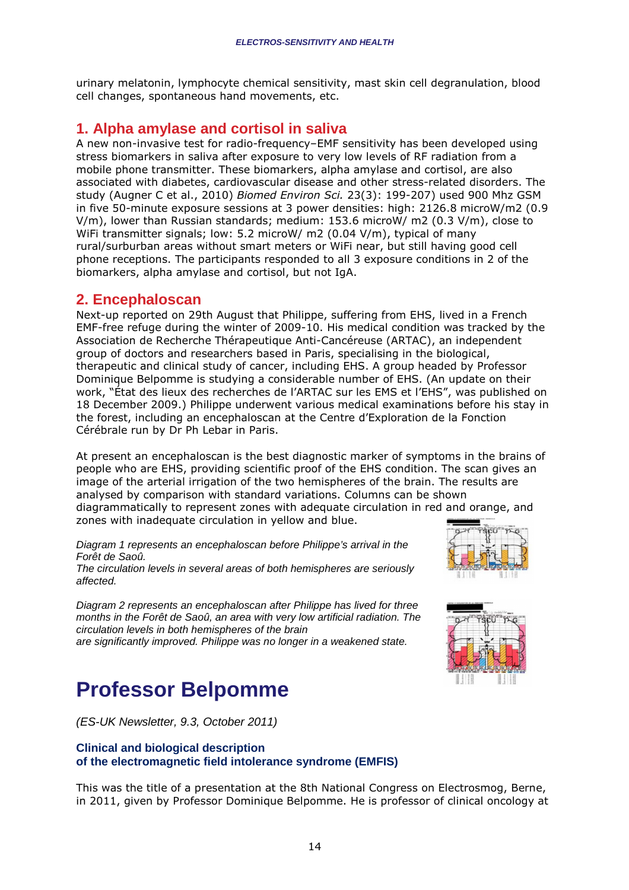urinary melatonin, lymphocyte chemical sensitivity, mast skin cell degranulation, blood cell changes, spontaneous hand movements, etc.

### **1. Alpha amylase and cortisol in saliva**

A new non-invasive test for radio-frequency–EMF sensitivity has been developed using stress biomarkers in saliva after exposure to very low levels of RF radiation from a mobile phone transmitter. These biomarkers, alpha amylase and cortisol, are also associated with diabetes, cardiovascular disease and other stress-related disorders. The study (Augner C et al., 2010) *Biomed Environ Sci.* 23(3): 199-207) used 900 Mhz GSM in five 50-minute exposure sessions at 3 power densities: high: 2126.8 microW/m2 (0.9 V/m), lower than Russian standards; medium: 153.6 microW/ m2 (0.3 V/m), close to WiFi transmitter signals; low: 5.2 microW/ m2 (0.04 V/m), typical of many rural/surburban areas without smart meters or WiFi near, but still having good cell phone receptions. The participants responded to all 3 exposure conditions in 2 of the biomarkers, alpha amylase and cortisol, but not IgA.

### **2. Encephaloscan**

Next-up reported on 29th August that Philippe, suffering from EHS, lived in a French EMF-free refuge during the winter of 2009-10. His medical condition was tracked by the Association de Recherche Thérapeutique Anti-Cancéreuse (ARTAC), an independent group of doctors and researchers based in Paris, specialising in the biological, therapeutic and clinical study of cancer, including EHS. A group headed by Professor Dominique Belpomme is studying a considerable number of EHS. (An update on their work, "État des lieux des recherches de l'ARTAC sur les EMS et l'EHS", was published on 18 December 2009.) Philippe underwent various medical examinations before his stay in the forest, including an encephaloscan at the Centre d'Exploration de la Fonction Cérébrale run by Dr Ph Lebar in Paris.

At present an encephaloscan is the best diagnostic marker of symptoms in the brains of people who are EHS, providing scientific proof of the EHS condition. The scan gives an image of the arterial irrigation of the two hemispheres of the brain. The results are analysed by comparison with standard variations. Columns can be shown diagrammatically to represent zones with adequate circulation in red and orange, and zones with inadequate circulation in yellow and blue.

Diagram 1 represents an encephaloscan before Philippe's arrival in the Forêt de Saoû.

The circulation levels in several areas of both hemispheres are seriously affected.

Diagram 2 represents an encephaloscan after Philippe has lived for three months in the Forêt de Saoû, an area with very low artificial radiation. The circulation levels in both hemispheres of the brain

are significantly improved. Philippe was no longer in a weakened state.

## **Professor Belpomme**

(ES-UK Newsletter, 9.3, October 2011)

#### **Clinical and biological description of the electromagnetic field intolerance syndrome (EMFIS)**

This was the title of a presentation at the 8th National Congress on Electrosmog, Berne, in 2011, given by Professor Dominique Belpomme. He is professor of clinical oncology at



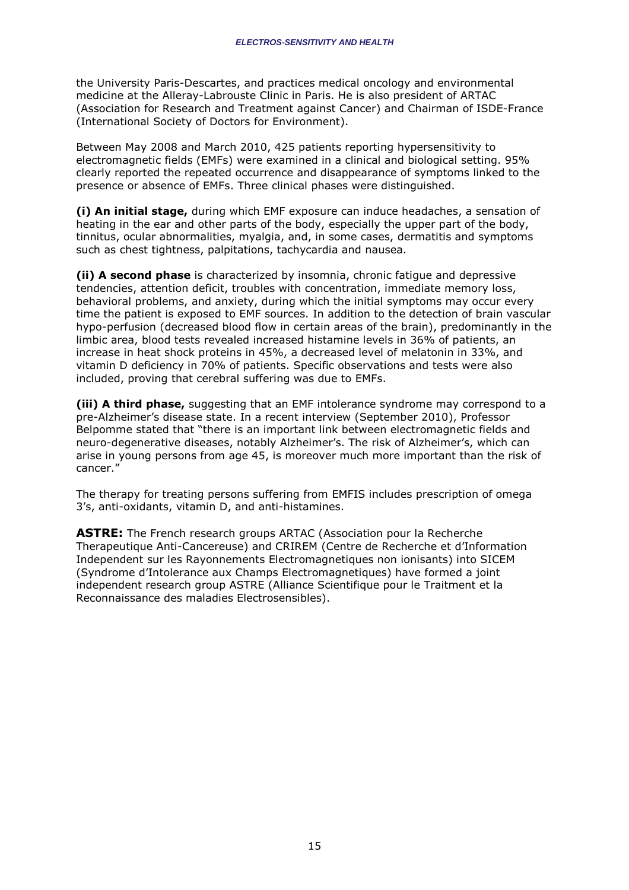the University Paris-Descartes, and practices medical oncology and environmental medicine at the Alleray-Labrouste Clinic in Paris. He is also president of ARTAC (Association for Research and Treatment against Cancer) and Chairman of ISDE-France (International Society of Doctors for Environment).

Between May 2008 and March 2010, 425 patients reporting hypersensitivity to electromagnetic fields (EMFs) were examined in a clinical and biological setting. 95% clearly reported the repeated occurrence and disappearance of symptoms linked to the presence or absence of EMFs. Three clinical phases were distinguished.

**(i) An initial stage,** during which EMF exposure can induce headaches, a sensation of heating in the ear and other parts of the body, especially the upper part of the body, tinnitus, ocular abnormalities, myalgia, and, in some cases, dermatitis and symptoms such as chest tightness, palpitations, tachycardia and nausea.

**(ii) A second phase** is characterized by insomnia, chronic fatigue and depressive tendencies, attention deficit, troubles with concentration, immediate memory loss, behavioral problems, and anxiety, during which the initial symptoms may occur every time the patient is exposed to EMF sources. In addition to the detection of brain vascular hypo-perfusion (decreased blood flow in certain areas of the brain), predominantly in the limbic area, blood tests revealed increased histamine levels in 36% of patients, an increase in heat shock proteins in 45%, a decreased level of melatonin in 33%, and vitamin D deficiency in 70% of patients. Specific observations and tests were also included, proving that cerebral suffering was due to EMFs.

**(iii) A third phase,** suggesting that an EMF intolerance syndrome may correspond to a pre-Alzheimer's disease state. In a recent interview (September 2010), Professor Belpomme stated that "there is an important link between electromagnetic fields and neuro-degenerative diseases, notably Alzheimer's. The risk of Alzheimer's, which can arise in young persons from age 45, is moreover much more important than the risk of cancer."

The therapy for treating persons suffering from EMFIS includes prescription of omega 3's, anti-oxidants, vitamin D, and anti-histamines.

**ASTRE:** The French research groups ARTAC (Association pour la Recherche Therapeutique Anti-Cancereuse) and CRIREM (Centre de Recherche et d'Information Independent sur les Rayonnements Electromagnetiques non ionisants) into SICEM (Syndrome d'Intolerance aux Champs Electromagnetiques) have formed a joint independent research group ASTRE (Alliance Scientifique pour le Traitment et la Reconnaissance des maladies Electrosensibles).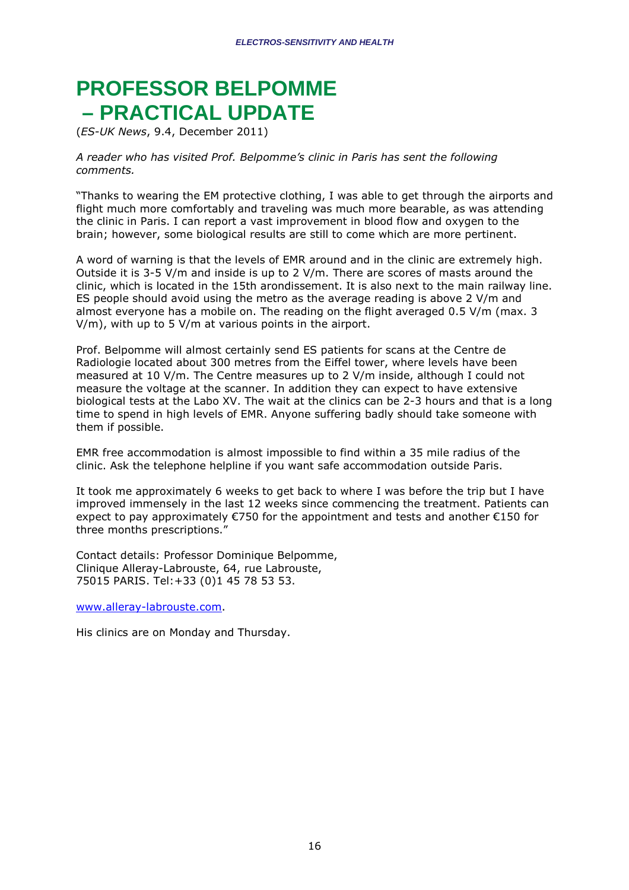# **PROFESSOR BELPOMME – PRACTICAL UPDATE**

(*ES-UK News*, 9.4, December 2011)

*A reader who has visited Prof. Belpomme's clinic in Paris has sent the following comments.* 

"Thanks to wearing the EM protective clothing, I was able to get through the airports and flight much more comfortably and traveling was much more bearable, as was attending the clinic in Paris. I can report a vast improvement in blood flow and oxygen to the brain; however, some biological results are still to come which are more pertinent.

A word of warning is that the levels of EMR around and in the clinic are extremely high. Outside it is 3-5 V/m and inside is up to 2 V/m. There are scores of masts around the clinic, which is located in the 15th arondissement. It is also next to the main railway line. ES people should avoid using the metro as the average reading is above 2 V/m and almost everyone has a mobile on. The reading on the flight averaged 0.5 V/m (max. 3 V/m), with up to 5 V/m at various points in the airport.

Prof. Belpomme will almost certainly send ES patients for scans at the Centre de Radiologie located about 300 metres from the Eiffel tower, where levels have been measured at 10 V/m. The Centre measures up to 2 V/m inside, although I could not measure the voltage at the scanner. In addition they can expect to have extensive biological tests at the Labo XV. The wait at the clinics can be 2-3 hours and that is a long time to spend in high levels of EMR. Anyone suffering badly should take someone with them if possible.

EMR free accommodation is almost impossible to find within a 35 mile radius of the clinic. Ask the telephone helpline if you want safe accommodation outside Paris.

It took me approximately 6 weeks to get back to where I was before the trip but I have improved immensely in the last 12 weeks since commencing the treatment. Patients can expect to pay approximately €750 for the appointment and tests and another €150 for three months prescriptions."

Contact details: Professor Dominique Belpomme, Clinique Alleray-Labrouste, 64, rue Labrouste, 75015 PARIS. Tel:+33 (0)1 45 78 53 53.

www.alleray-labrouste.com.

His clinics are on Monday and Thursday.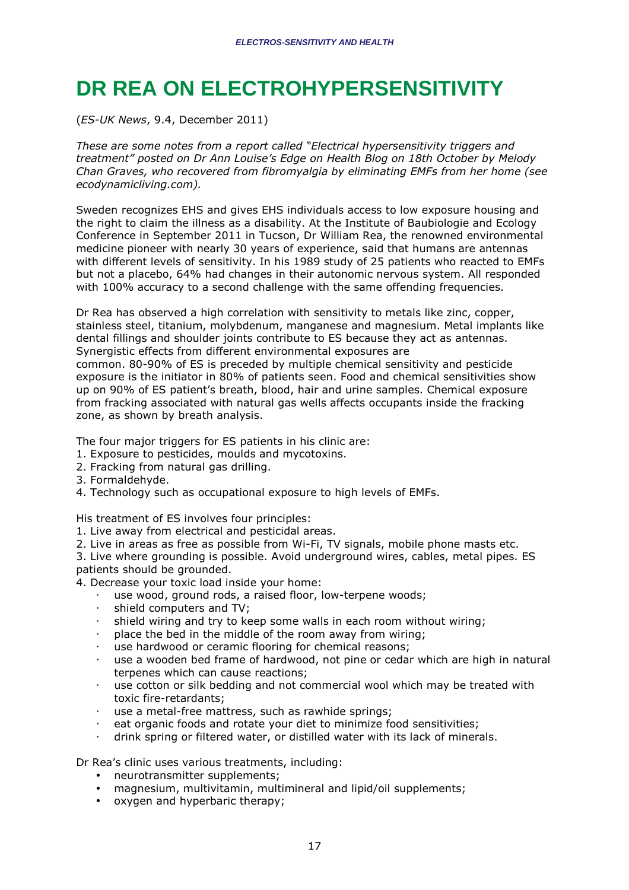# **DR REA ON ELECTROHYPERSENSITIVITY**

(*ES-UK News*, 9.4, December 2011)

*These are some notes from a report called "Electrical hypersensitivity triggers and treatment" posted on Dr Ann Louise's Edge on Health Blog on 18th October by Melody Chan Graves, who recovered from fibromyalgia by eliminating EMFs from her home (see ecodynamicliving.com).* 

Sweden recognizes EHS and gives EHS individuals access to low exposure housing and the right to claim the illness as a disability. At the Institute of Baubiologie and Ecology Conference in September 2011 in Tucson, Dr William Rea, the renowned environmental medicine pioneer with nearly 30 years of experience, said that humans are antennas with different levels of sensitivity. In his 1989 study of 25 patients who reacted to EMFs but not a placebo, 64% had changes in their autonomic nervous system. All responded with 100% accuracy to a second challenge with the same offending frequencies.

Dr Rea has observed a high correlation with sensitivity to metals like zinc, copper, stainless steel, titanium, molybdenum, manganese and magnesium. Metal implants like dental fillings and shoulder joints contribute to ES because they act as antennas. Synergistic effects from different environmental exposures are

common. 80-90% of ES is preceded by multiple chemical sensitivity and pesticide exposure is the initiator in 80% of patients seen. Food and chemical sensitivities show up on 90% of ES patient's breath, blood, hair and urine samples. Chemical exposure from fracking associated with natural gas wells affects occupants inside the fracking zone, as shown by breath analysis.

The four major triggers for ES patients in his clinic are:

- 1. Exposure to pesticides, moulds and mycotoxins.
- 2. Fracking from natural gas drilling.
- 3. Formaldehyde.
- 4. Technology such as occupational exposure to high levels of EMFs.

His treatment of ES involves four principles:

- 1. Live away from electrical and pesticidal areas.
- 2. Live in areas as free as possible from Wi-Fi, TV signals, mobile phone masts etc.

3. Live where grounding is possible. Avoid underground wires, cables, metal pipes. ES patients should be grounded.

4. Decrease your toxic load inside your home:

- use wood, ground rods, a raised floor, low-terpene woods;
- shield computers and TV;
- shield wiring and try to keep some walls in each room without wiring;
- place the bed in the middle of the room away from wiring;
- use hardwood or ceramic flooring for chemical reasons;
- use a wooden bed frame of hardwood, not pine or cedar which are high in natural terpenes which can cause reactions;
- use cotton or silk bedding and not commercial wool which may be treated with toxic fire-retardants;
- use a metal-free mattress, such as rawhide springs;
- eat organic foods and rotate your diet to minimize food sensitivities;
- drink spring or filtered water, or distilled water with its lack of minerals.

Dr Rea's clinic uses various treatments, including:

- neurotransmitter supplements:
- magnesium, multivitamin, multimineral and lipid/oil supplements;
- oxygen and hyperbaric therapy;